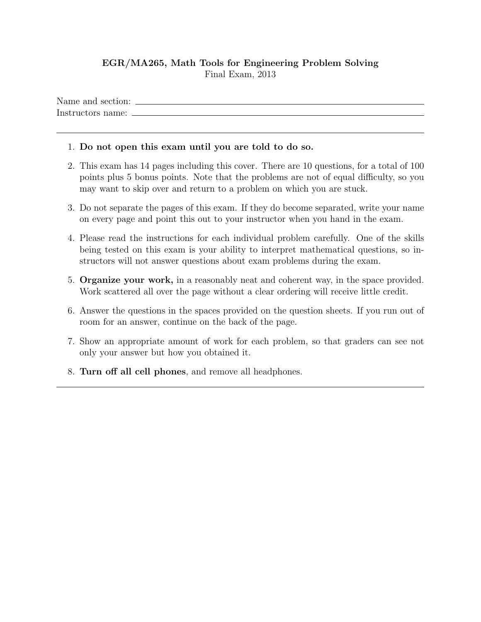## EGR/MA265, Math Tools for Engineering Problem Solving Final Exam, 2013

Name and section: Instructors name:

## 1. Do not open this exam until you are told to do so.

- 2. This exam has 14 pages including this cover. There are 10 questions, for a total of 100 points plus 5 bonus points. Note that the problems are not of equal difficulty, so you may want to skip over and return to a problem on which you are stuck.
- 3. Do not separate the pages of this exam. If they do become separated, write your name on every page and point this out to your instructor when you hand in the exam.
- 4. Please read the instructions for each individual problem carefully. One of the skills being tested on this exam is your ability to interpret mathematical questions, so instructors will not answer questions about exam problems during the exam.
- 5. Organize your work, in a reasonably neat and coherent way, in the space provided. Work scattered all over the page without a clear ordering will receive little credit.
- 6. Answer the questions in the spaces provided on the question sheets. If you run out of room for an answer, continue on the back of the page.
- 7. Show an appropriate amount of work for each problem, so that graders can see not only your answer but how you obtained it.
- 8. Turn off all cell phones, and remove all headphones.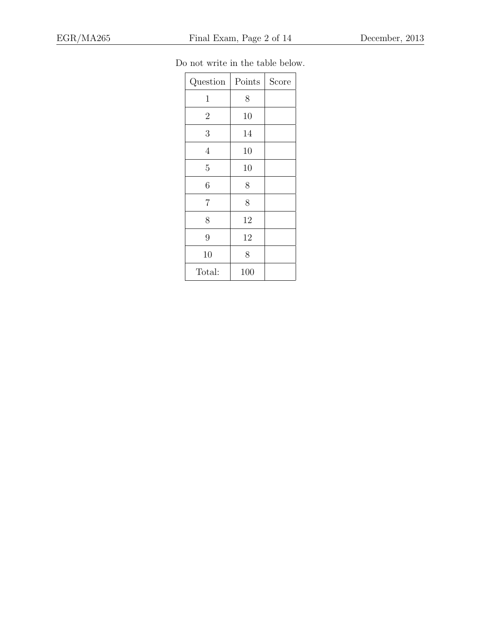| Question       | Points | Score |
|----------------|--------|-------|
| $\mathbf 1$    | 8      |       |
| $\overline{2}$ | 10     |       |
| 3              | 14     |       |
| $\overline{4}$ | 10     |       |
| 5              | 10     |       |
| 6              | 8      |       |
| 7              | 8      |       |
| 8              | 12     |       |
| 9              | 12     |       |
| 10             | 8      |       |
| Total:         | 100    |       |

Do not write in the table below.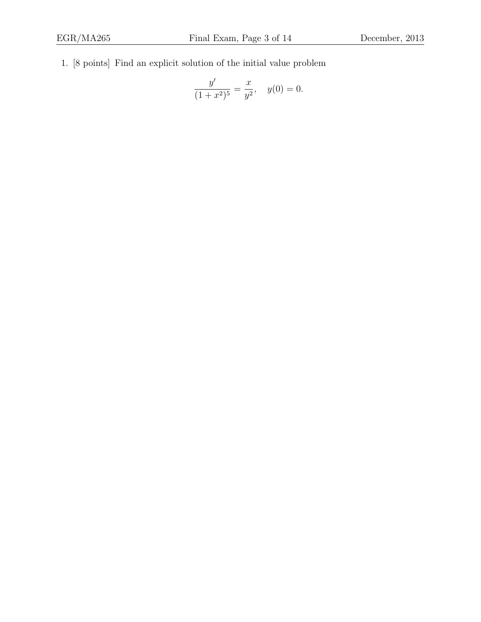1. [8 points] Find an explicit solution of the initial value problem

$$
\frac{y'}{(1+x^2)^5} = \frac{x}{y^2}, \quad y(0) = 0.
$$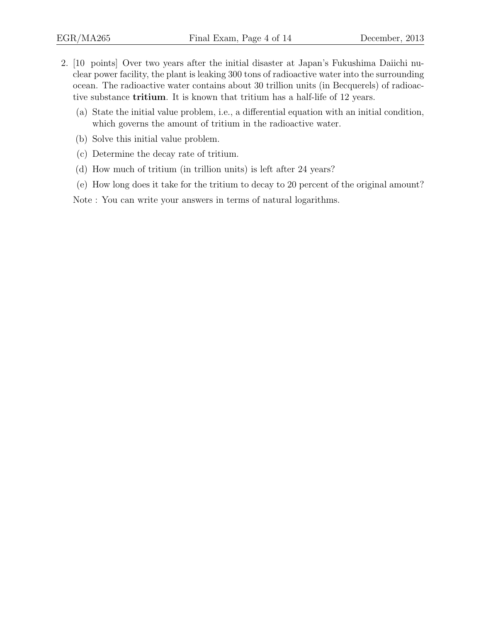- 2. [10 points] Over two years after the initial disaster at Japan's Fukushima Daiichi nuclear power facility, the plant is leaking 300 tons of radioactive water into the surrounding ocean. The radioactive water contains about 30 trillion units (in Becquerels) of radioactive substance tritium. It is known that tritium has a half-life of 12 years.
	- (a) State the initial value problem, i.e., a differential equation with an initial condition, which governs the amount of tritium in the radioactive water.
	- (b) Solve this initial value problem.
	- (c) Determine the decay rate of tritium.
	- (d) How much of tritium (in trillion units) is left after 24 years?
	- (e) How long does it take for the tritium to decay to 20 percent of the original amount?

Note : You can write your answers in terms of natural logarithms.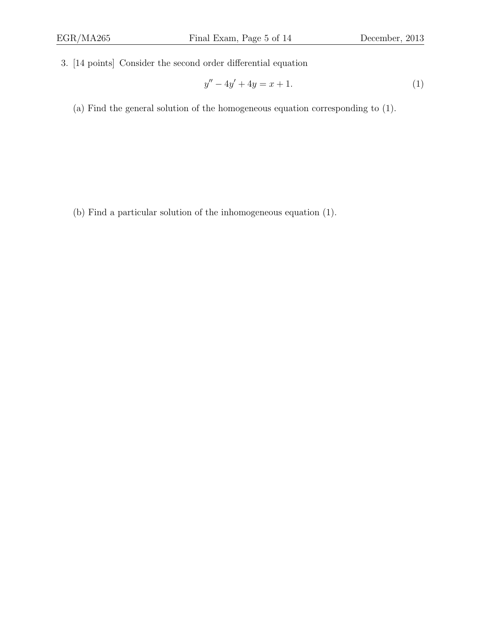3. [14 points] Consider the second order differential equation

$$
y'' - 4y' + 4y = x + 1.
$$
 (1)

(a) Find the general solution of the homogeneous equation corresponding to (1).

(b) Find a particular solution of the inhomogeneous equation (1).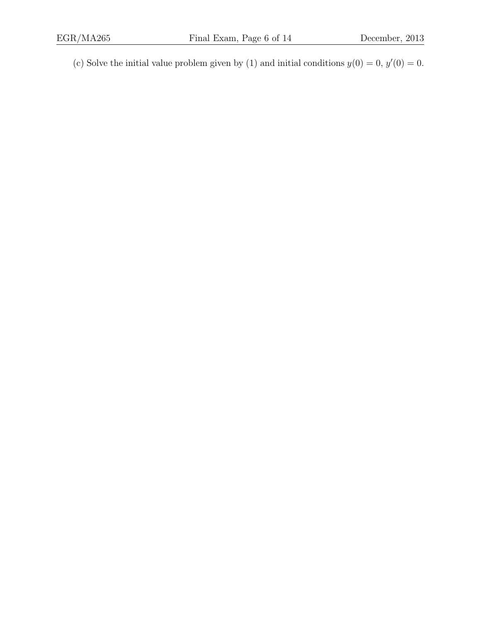(c) Solve the initial value problem given by (1) and initial conditions  $y(0) = 0$ ,  $y'(0) = 0$ .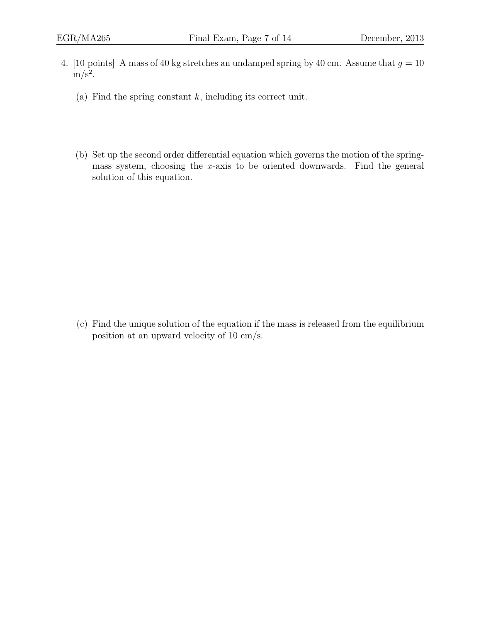- 4. [10 points] A mass of 40 kg stretches an undamped spring by 40 cm. Assume that  $g = 10$  $m/s<sup>2</sup>$ .
	- (a) Find the spring constant  $k$ , including its correct unit.
	- (b) Set up the second order differential equation which governs the motion of the springmass system, choosing the x-axis to be oriented downwards. Find the general solution of this equation.

(c) Find the unique solution of the equation if the mass is released from the equilibrium position at an upward velocity of 10 cm/s.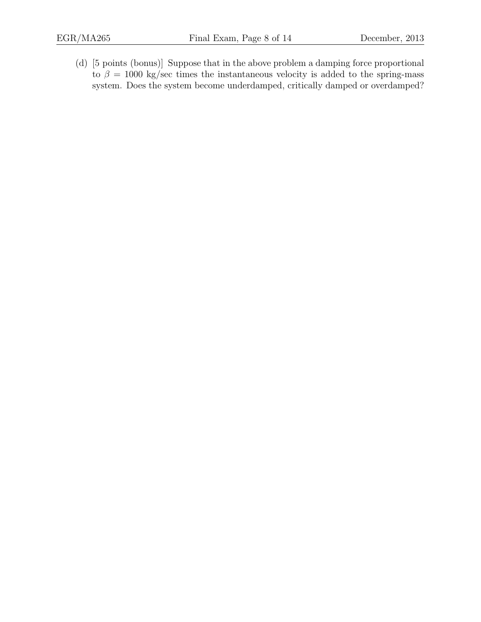(d) [5 points (bonus)] Suppose that in the above problem a damping force proportional to  $\beta = 1000$  kg/sec times the instantaneous velocity is added to the spring-mass system. Does the system become underdamped, critically damped or overdamped?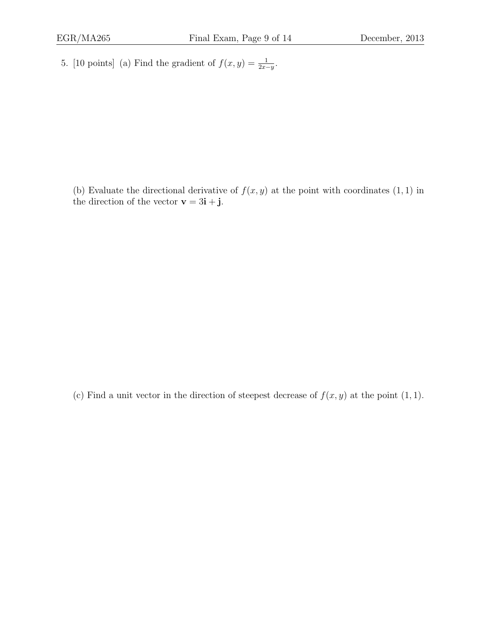5. [10 points] (a) Find the gradient of  $f(x, y) = \frac{1}{2x-y}$ .

(b) Evaluate the directional derivative of  $f(x, y)$  at the point with coordinates  $(1, 1)$  in the direction of the vector  $\mathbf{v} = 3\mathbf{i} + \mathbf{j}$ .

(c) Find a unit vector in the direction of steepest decrease of  $f(x, y)$  at the point  $(1, 1)$ .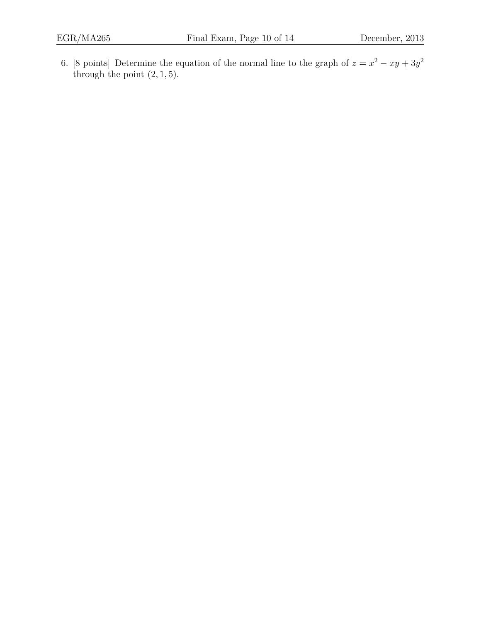6. [8 points] Determine the equation of the normal line to the graph of  $z = x^2 - xy + 3y^2$ through the point  $(2, 1, 5)$ .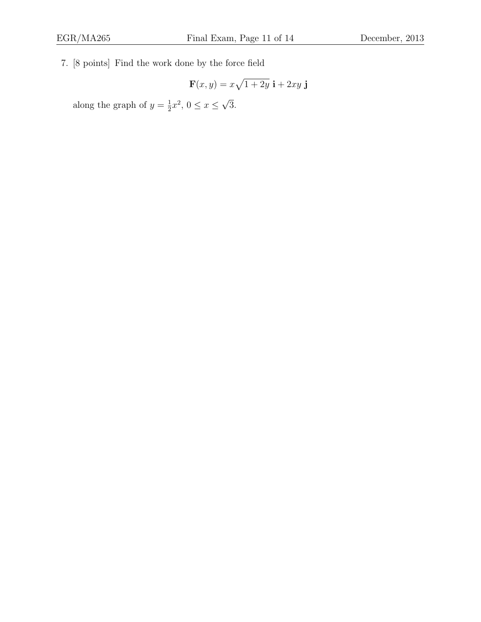7. [8 points] Find the work done by the force field

$$
\mathbf{F}(x,y) = x\sqrt{1+2y} \mathbf{i} + 2xy \mathbf{j}
$$

along the graph of  $y=\frac{1}{2}$  $\frac{1}{2}x^2, 0 \le x \le$ √ 3.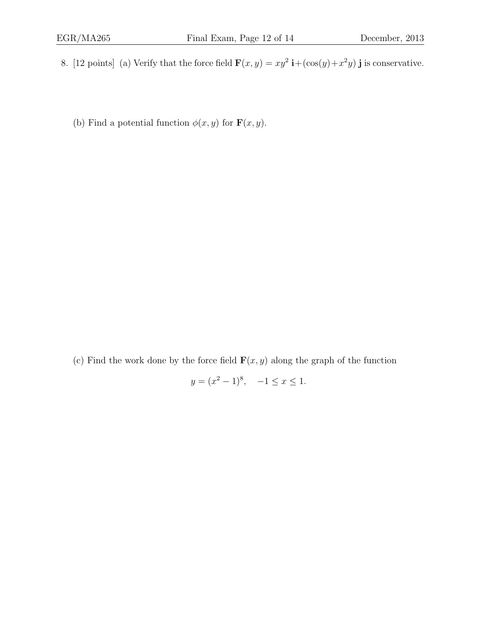8. [12 points] (a) Verify that the force field  $\mathbf{F}(x, y) = xy^2 \mathbf{i} + (\cos(y) + x^2y) \mathbf{j}$  is conservative.

(b) Find a potential function  $\phi(x, y)$  for  $\mathbf{F}(x, y)$ .

(c) Find the work done by the force field  $\mathbf{F}(x, y)$  along the graph of the function

$$
y = (x^2 - 1)^8, \quad -1 \le x \le 1.
$$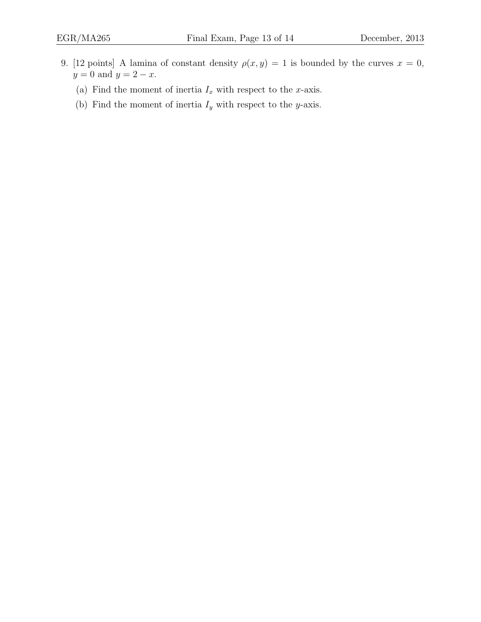- 9. [12 points] A lamina of constant density  $\rho(x, y) = 1$  is bounded by the curves  $x = 0$ ,  $y = 0$  and  $y = 2 - x$ .
	- (a) Find the moment of inertia  $I_x$  with respect to the x-axis.
	- (b) Find the moment of inertia  $I_y$  with respect to the y-axis.